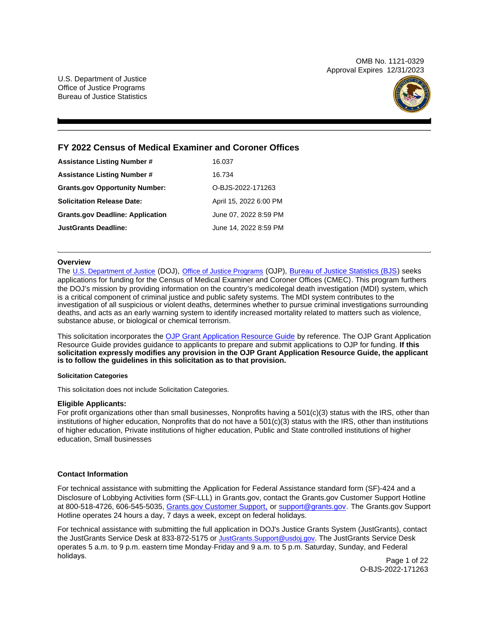OMB No. 1121-0329 Approval Expires 12/31/2023

<span id="page-0-0"></span>U.S. Department of Justice Office of Justice Programs Bureau of Justice Statistics



# **FY 2022 Census of Medical Examiner and Coroner Offices**

| <b>Assistance Listing Number #</b>      | 16.037                 |
|-----------------------------------------|------------------------|
| <b>Assistance Listing Number #</b>      | 16.734                 |
| <b>Grants.gov Opportunity Number:</b>   | O-BJS-2022-171263      |
| <b>Solicitation Release Date:</b>       | April 15, 2022 6:00 PM |
| <b>Grants.gov Deadline: Application</b> | June 07, 2022 8:59 PM  |
| <b>JustGrants Deadline:</b>             | June 14, 2022 8:59 PM  |

# **Overview**

The [U.S. Department of Justice](https://www.usdoj.gov/) (DOJ), [Office of Justice Programs](https://www.ojp.usdoj.gov/) (OJP), [Bureau of Justice Statistics \(BJS\)](https://bjs.ojp.gov/) seeks applications for funding for the Census of Medical Examiner and Coroner Offices (CMEC). This program furthers the DOJ's mission by providing information on the country's medicolegal death investigation (MDI) system, which is a critical component of criminal justice and public safety systems. The MDI system contributes to the investigation of all suspicious or violent deaths, determines whether to pursue criminal investigations surrounding deaths, and acts as an early warning system to identify increased mortality related to matters such as violence, substance abuse, or biological or chemical terrorism.

This solicitation incorporates the [OJP Grant Application Resource Guide](https://www.ojp.gov/funding/Apply/Resources/Grant-App-Resource-Guide.htm) by reference. The OJP Grant Application Resource Guide provides guidance to applicants to prepare and submit applications to OJP for funding. **If this solicitation expressly modifies any provision in the OJP Grant Application Resource Guide, the applicant is to follow the guidelines in this solicitation as to that provision.** 

# **Solicitation Categories**

This solicitation does not include Solicitation Categories.

# **Eligible Applicants:**

For profit organizations other than small businesses, Nonprofits having a 501(c)(3) status with the IRS, other than institutions of higher education, Nonprofits that do not have a 501(c)(3) status with the IRS, other than institutions of higher education, Private institutions of higher education, Public and State controlled institutions of higher education, Small businesses

# **Contact Information**

For technical assistance with submitting the Application for Federal Assistance standard form (SF)-424 and a Disclosure of Lobbying Activities form (SF-LLL) in [Grants.gov,](https://Grants.gov) contact the [Grants.gov](https://Grants.gov) Customer Support Hotline at 800-518-4726, 606-545-5035, [Grants.gov Customer Support,](https://www.grants.gov/web/grants/support.html) or [support@grants.gov.](mailto:support@grants.gov) The [Grants.gov](https://Grants.gov) Support Hotline operates 24 hours a day, 7 days a week, except on federal holidays.

For technical assistance with submitting the full application in DOJ's Justice Grants System (JustGrants), contact the JustGrants Service Desk at 833-872-5175 or [JustGrants.Support@usdoj.gov.](mailto:JustGrants.Support@usdoj.gov) The JustGrants Service Desk operates 5 a.m. to 9 p.m. eastern time Monday-Friday and 9 a.m. to 5 p.m. Saturday, Sunday, and Federal holidays. Page 1 of 22

O-BJS-2022-171263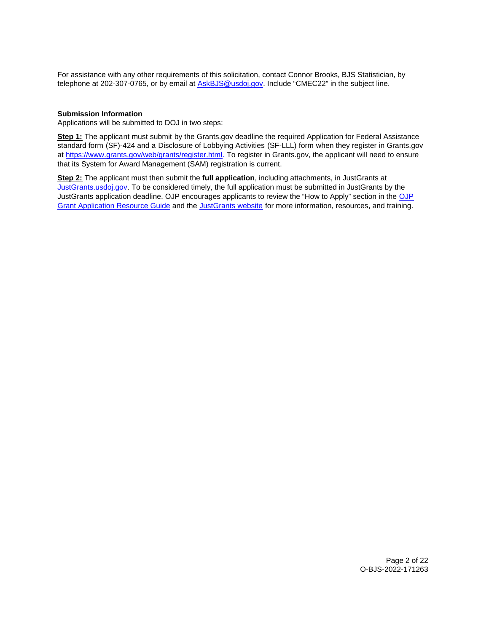For assistance with any other requirements of this solicitation, contact Connor Brooks, BJS Statistician, by telephone at 202-307-0765, or by email at [AskBJS@usdoj.gov.](mailto:AskBJS@usdoj.gov?subject=CMEC22) Include "CMEC22" in the subject line.

# **Submission Information**

Applications will be submitted to DOJ in two steps:

**Step 1:** The applicant must submit by the [Grants.gov](https://Grants.gov) deadline the required Application for Federal Assistance standard form (SF)-424 and a Disclosure of Lobbying Activities (SF-LLL) form when they register in [Grants.gov](https://Grants.gov)  at [https://www.grants.gov/web/grants/register.html.](https://www.grants.gov/web/grants/register.html) To register in [Grants.gov,](https://Grants.gov) the applicant will need to ensure that its System for Award Management (SAM) registration is current.

**Step 2:** The applicant must then submit the **full application**, including attachments, in JustGrants at [JustGrants.usdoj.gov.](http://JustGrants.usdoj.gov) To be considered timely, the full application must be submitted in JustGrants by the JustGrants application deadline. OJP encourages applicants to review the "How to Apply" section in the [OJP](https://www.ojp.gov/funding/apply/ojp-grant-application-resource-guide#apply) [Grant Application Resource Guide](https://www.ojp.gov/funding/apply/ojp-grant-application-resource-guide#apply) and the [JustGrants website](https://justicegrants.usdoj.gov/news) for more information, resources, and training.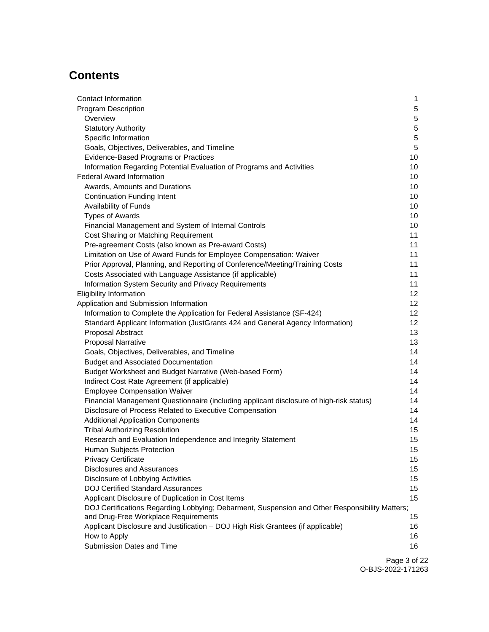# **Contents**

| Contact Information                                                                            | 1               |
|------------------------------------------------------------------------------------------------|-----------------|
| <b>Program Description</b>                                                                     | 5               |
| Overview                                                                                       | 5               |
| <b>Statutory Authority</b>                                                                     | 5               |
| Specific Information                                                                           | 5               |
| Goals, Objectives, Deliverables, and Timeline                                                  | 5               |
| Evidence-Based Programs or Practices                                                           | 10              |
| Information Regarding Potential Evaluation of Programs and Activities                          | 10              |
| <b>Federal Award Information</b>                                                               | 10              |
| Awards, Amounts and Durations                                                                  | 10              |
| <b>Continuation Funding Intent</b>                                                             | 10              |
| Availability of Funds                                                                          | 10              |
| <b>Types of Awards</b>                                                                         | 10              |
| Financial Management and System of Internal Controls                                           | 10              |
| Cost Sharing or Matching Requirement                                                           | 11              |
| Pre-agreement Costs (also known as Pre-award Costs)                                            | 11              |
| Limitation on Use of Award Funds for Employee Compensation: Waiver                             | 11              |
| Prior Approval, Planning, and Reporting of Conference/Meeting/Training Costs                   | 11              |
| Costs Associated with Language Assistance (if applicable)                                      | 11              |
| Information System Security and Privacy Requirements                                           | 11              |
| Eligibility Information                                                                        | 12              |
| Application and Submission Information                                                         | 12 <sup>°</sup> |
| Information to Complete the Application for Federal Assistance (SF-424)                        | 12 <sup>°</sup> |
| Standard Applicant Information (JustGrants 424 and General Agency Information)                 | 12              |
| Proposal Abstract                                                                              | 13              |
| <b>Proposal Narrative</b>                                                                      | 13              |
| Goals, Objectives, Deliverables, and Timeline                                                  | 14              |
| <b>Budget and Associated Documentation</b>                                                     | 14              |
| Budget Worksheet and Budget Narrative (Web-based Form)                                         | 14              |
| Indirect Cost Rate Agreement (if applicable)                                                   | 14              |
| <b>Employee Compensation Waiver</b>                                                            | 14              |
| Financial Management Questionnaire (including applicant disclosure of high-risk status)        | 14              |
| Disclosure of Process Related to Executive Compensation                                        | 14              |
| <b>Additional Application Components</b>                                                       | 14              |
| <b>Tribal Authorizing Resolution</b>                                                           | 15              |
| Research and Evaluation Independence and Integrity Statement                                   | 15              |
| <b>Human Subjects Protection</b>                                                               | 15              |
| <b>Privacy Certificate</b>                                                                     | 15              |
| <b>Disclosures and Assurances</b>                                                              | 15              |
| Disclosure of Lobbying Activities                                                              | 15              |
| <b>DOJ Certified Standard Assurances</b>                                                       | 15              |
| Applicant Disclosure of Duplication in Cost Items                                              | 15              |
| DOJ Certifications Regarding Lobbying; Debarment, Suspension and Other Responsibility Matters; |                 |
| and Drug-Free Workplace Requirements                                                           | 15              |
| Applicant Disclosure and Justification - DOJ High Risk Grantees (if applicable)                | 16              |
| How to Apply                                                                                   | 16              |
| Submission Dates and Time                                                                      | 16              |
|                                                                                                |                 |

Page 3 of 22 O-BJS-2022-171263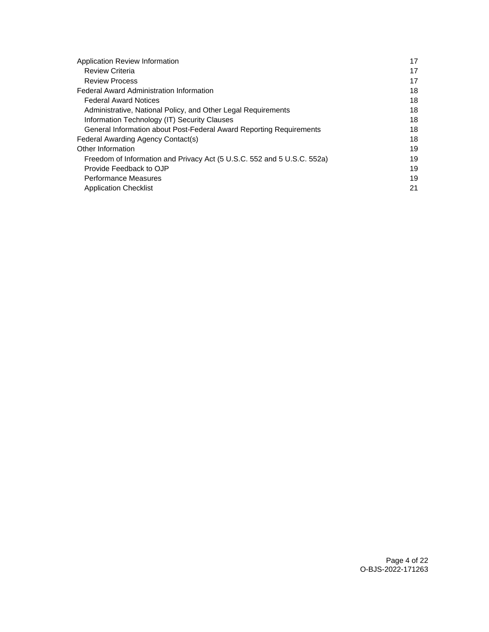| Application Review Information                                          | 17 |
|-------------------------------------------------------------------------|----|
| <b>Review Criteria</b>                                                  | 17 |
| <b>Review Process</b>                                                   | 17 |
| <b>Federal Award Administration Information</b>                         | 18 |
| <b>Federal Award Notices</b>                                            | 18 |
| Administrative, National Policy, and Other Legal Requirements           | 18 |
| Information Technology (IT) Security Clauses                            | 18 |
| General Information about Post-Federal Award Reporting Requirements     | 18 |
| Federal Awarding Agency Contact(s)                                      | 18 |
| Other Information                                                       | 19 |
| Freedom of Information and Privacy Act (5 U.S.C. 552 and 5 U.S.C. 552a) | 19 |
| Provide Feedback to OJP                                                 | 19 |
| <b>Performance Measures</b>                                             | 19 |
| <b>Application Checklist</b>                                            | 21 |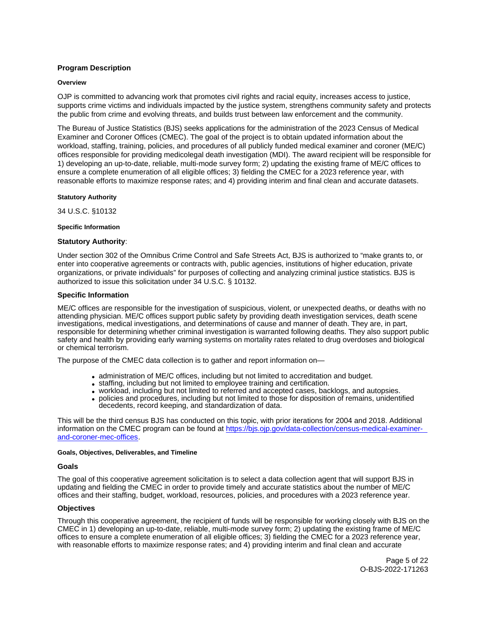# <span id="page-4-0"></span>**Program Description**

# **Overview**

OJP is committed to advancing work that promotes civil rights and racial equity, increases access to justice, supports crime victims and individuals impacted by the justice system, strengthens community safety and protects the public from crime and evolving threats, and builds trust between law enforcement and the community.

The Bureau of Justice Statistics (BJS) seeks applications for the administration of the 2023 Census of Medical Examiner and Coroner Offices (CMEC). The goal of the project is to obtain updated information about the workload, staffing, training, policies, and procedures of all publicly funded medical examiner and coroner (ME/C) offices responsible for providing medicolegal death investigation (MDI). The award recipient will be responsible for 1) developing an up-to-date, reliable, multi-mode survey form; 2) updating the existing frame of ME/C offices to ensure a complete enumeration of all eligible offices; 3) fielding the CMEC for a 2023 reference year, with reasonable efforts to maximize response rates; and 4) providing interim and final clean and accurate datasets.

**Statutory Authority** 

34 U.S.C. §10132

# **Specific Information**

# **Statutory Authority**:

Under section 302 of the Omnibus Crime Control and Safe Streets Act, BJS is authorized to "make grants to, or enter into cooperative agreements or contracts with, public agencies, institutions of higher education, private organizations, or private individuals" for purposes of collecting and analyzing criminal justice statistics. BJS is authorized to issue this solicitation under 34 U.S.C. § 10132.

# **Specific Information**

ME/C offices are responsible for the investigation of suspicious, violent, or unexpected deaths, or deaths with no attending physician. ME/C offices support public safety by providing death investigation services, death scene investigations, medical investigations, and determinations of cause and manner of death. They are, in part, responsible for determining whether criminal investigation is warranted following deaths. They also support public safety and health by providing early warning systems on mortality rates related to drug overdoses and biological or chemical terrorism.

The purpose of the CMEC data collection is to gather and report information on—

- administration of ME/C offices, including but not limited to accreditation and budget.
- staffing, including but not limited to employee training and certification.
- workload, including but not limited to referred and accepted cases, backlogs, and autopsies.
- policies and procedures, including but not limited to those for disposition of remains, unidentified decedents, record keeping, and standardization of data.

This will be the third census BJS has conducted on this topic, with prior iterations for 2004 and 2018. Additional information on the CMEC program can be found at [https://bjs.ojp.gov/data-collection/census-medical-examiner](https://bjs.ojp.gov/data-collection/census-medical-examiner-and-coroner-mec-offices)[and-coroner-mec-offices.](https://bjs.ojp.gov/data-collection/census-medical-examiner-and-coroner-mec-offices)

# **Goals, Objectives, Deliverables, and Timeline**

# **Goals**

The goal of this cooperative agreement solicitation is to select a data collection agent that will support BJS in updating and fielding the CMEC in order to provide timely and accurate statistics about the number of ME/C offices and their staffing, budget, workload, resources, policies, and procedures with a 2023 reference year.

# **Objectives**

Through this cooperative agreement, the recipient of funds will be responsible for working closely with BJS on the CMEC in 1) developing an up-to-date, reliable, multi-mode survey form; 2) updating the existing frame of ME/C offices to ensure a complete enumeration of all eligible offices; 3) fielding the CMEC for a 2023 reference year, with reasonable efforts to maximize response rates; and 4) providing interim and final clean and accurate

> Page 5 of 22 O-BJS-2022-171263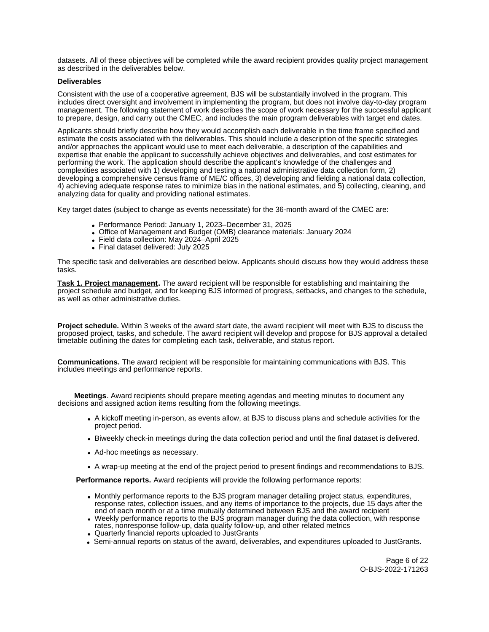datasets. All of these objectives will be completed while the award recipient provides quality project management as described in the deliverables below.

# **Deliverables**

Consistent with the use of a cooperative agreement, BJS will be substantially involved in the program. This includes direct oversight and involvement in implementing the program, but does not involve day-to-day program management. The following statement of work describes the scope of work necessary for the successful applicant to prepare, design, and carry out the CMEC, and includes the main program deliverables with target end dates.

Applicants should briefly describe how they would accomplish each deliverable in the time frame specified and estimate the costs associated with the deliverables. This should include a description of the specific strategies and/or approaches the applicant would use to meet each deliverable, a description of the capabilities and expertise that enable the applicant to successfully achieve objectives and deliverables, and cost estimates for performing the work. The application should describe the applicant's knowledge of the challenges and complexities associated with 1) developing and testing a national administrative data collection form, 2) developing a comprehensive census frame of ME/C offices, 3) developing and fielding a national data collection, 4) achieving adequate response rates to minimize bias in the national estimates, and 5) collecting, cleaning, and analyzing data for quality and providing national estimates.

Key target dates (subject to change as events necessitate) for the 36-month award of the CMEC are:

- Performance Period: January 1, 2023–December 31, 2025
- Office of Management and Budget (OMB) clearance materials: January 2024
- Field data collection: May 2024–April 2025
- Final dataset delivered: July 2025

The specific task and deliverables are described below. Applicants should discuss how they would address these tasks.

**Task 1. Project management.** The award recipient will be responsible for establishing and maintaining the project schedule and budget, and for keeping BJS informed of progress, setbacks, and changes to the schedule, as well as other administrative duties.

**Project schedule.** Within 3 weeks of the award start date, the award recipient will meet with BJS to discuss the proposed project, tasks, and schedule. The award recipient will develop and propose for BJS approval a detailed timetable outlining the dates for completing each task, deliverable, and status report.

**Communications.** The award recipient will be responsible for maintaining communications with BJS. This includes meetings and performance reports.

**Meetings**. Award recipients should prepare meeting agendas and meeting minutes to document any decisions and assigned action items resulting from the following meetings.

- A kickoff meeting in-person, as events allow, at BJS to discuss plans and schedule activities for the project period.
- Biweekly check-in meetings during the data collection period and until the final dataset is delivered.
- Ad-hoc meetings as necessary.
- A wrap-up meeting at the end of the project period to present findings and recommendations to BJS.

**Performance reports.** Award recipients will provide the following performance reports:

- Monthly performance reports to the BJS program manager detailing project status, expenditures, response rates, collection issues, and any items of importance to the projects, due 15 days after the end of each month or at a time mutually determined between BJS and the award recipient
- Weekly performance reports to the BJS program manager during the data collection, with response rates, nonresponse follow-up, data quality follow-up, and other related metrics
- Quarterly financial reports uploaded to JustGrants
- Semi-annual reports on status of the award, deliverables, and expenditures uploaded to JustGrants.

Page 6 of 22 O-BJS-2022-171263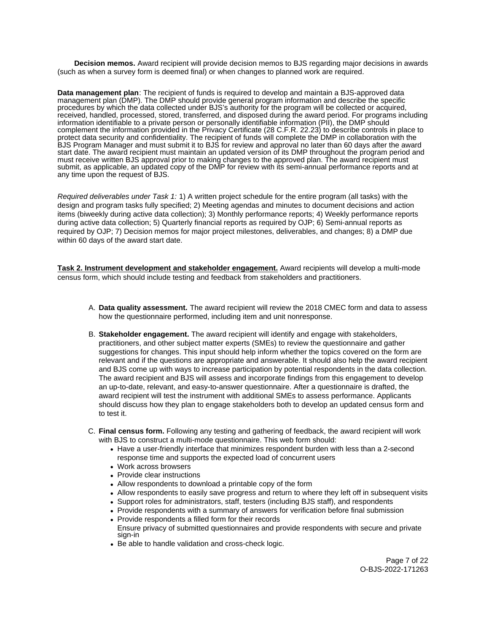**Decision memos.** Award recipient will provide decision memos to BJS regarding major decisions in awards (such as when a survey form is deemed final) or when changes to planned work are required.

**Data management plan**: The recipient of funds is required to develop and maintain a BJS-approved data management plan (DMP). The DMP should provide general program information and describe the specific procedures by which the data collected under BJS's authority for the program will be collected or acquired, received, handled, processed, stored, transferred, and disposed during the award period. For programs including information identifiable to a private person or personally identifiable information (PII), the DMP should complement the information provided in the Privacy Certificate (28 C.F.R. 22.23) to describe controls in place to protect data security and confidentiality. The recipient of funds will complete the DMP in collaboration with the BJS Program Manager and must submit it to BJS for review and approval no later than 60 days after the award start date. The award recipient must maintain an updated version of its DMP throughout the program period and must receive written BJS approval prior to making changes to the approved plan. The award recipient must submit, as applicable, an updated copy of the DMP for review with its semi-annual performance reports and at any time upon the request of BJS.

Required deliverables under Task 1: 1) A written project schedule for the entire program (all tasks) with the design and program tasks fully specified; 2) Meeting agendas and minutes to document decisions and action items (biweekly during active data collection); 3) Monthly performance reports; 4) Weekly performance reports during active data collection; 5) Quarterly financial reports as required by OJP; 6) Semi-annual reports as required by OJP; 7) Decision memos for major project milestones, deliverables, and changes; 8) a DMP due within 60 days of the award start date.

**Task 2. Instrument development and stakeholder engagement.** Award recipients will develop a multi-mode census form, which should include testing and feedback from stakeholders and practitioners.

- A. **Data quality assessment.** The award recipient will review the 2018 CMEC form and data to assess how the questionnaire performed, including item and unit nonresponse.
- B. **Stakeholder engagement.** The award recipient will identify and engage with stakeholders, practitioners, and other subject matter experts (SMEs) to review the questionnaire and gather suggestions for changes. This input should help inform whether the topics covered on the form are relevant and if the questions are appropriate and answerable. It should also help the award recipient and BJS come up with ways to increase participation by potential respondents in the data collection. The award recipient and BJS will assess and incorporate findings from this engagement to develop an up-to-date, relevant, and easy-to-answer questionnaire. After a questionnaire is drafted, the award recipient will test the instrument with additional SMEs to assess performance. Applicants should discuss how they plan to engage stakeholders both to develop an updated census form and to test it.
- C. **Final census form.** Following any testing and gathering of feedback, the award recipient will work with BJS to construct a multi-mode questionnaire. This web form should:
	- Have a user-friendly interface that minimizes respondent burden with less than a 2-second response time and supports the expected load of concurrent users
	- Work across browsers
	- Provide clear instructions
	- Allow respondents to download a printable copy of the form
	- Allow respondents to easily save progress and return to where they left off in subsequent visits
	- Support roles for administrators, staff, testers (including BJS staff), and respondents
	- Provide respondents with a summary of answers for verification before final submission
	- Provide respondents a filled form for their records Ensure privacy of submitted questionnaires and provide respondents with secure and private sign-in
	- Be able to handle validation and cross-check logic.

Page 7 of 22 O-BJS-2022-171263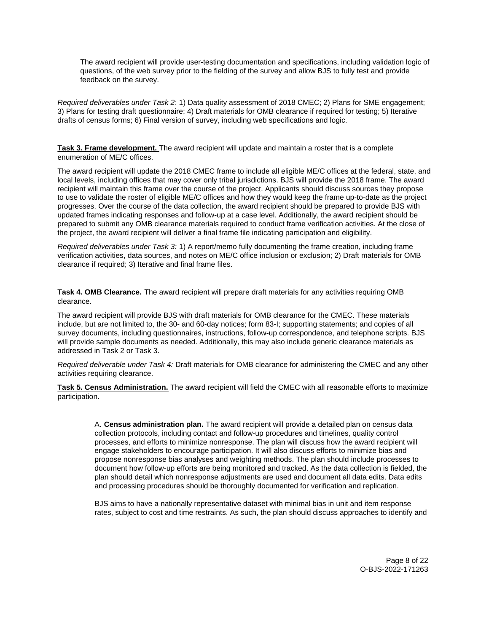The award recipient will provide user-testing documentation and specifications, including validation logic of questions, of the web survey prior to the fielding of the survey and allow BJS to fully test and provide feedback on the survey.

Required deliverables under Task 2: 1) Data quality assessment of 2018 CMEC; 2) Plans for SME engagement; 3) Plans for testing draft questionnaire; 4) Draft materials for OMB clearance if required for testing; 5) Iterative drafts of census forms; 6) Final version of survey, including web specifications and logic.

**Task 3. Frame development.** The award recipient will update and maintain a roster that is a complete enumeration of ME/C offices.

The award recipient will update the 2018 CMEC frame to include all eligible ME/C offices at the federal, state, and local levels, including offices that may cover only tribal jurisdictions. BJS will provide the 2018 frame. The award recipient will maintain this frame over the course of the project. Applicants should discuss sources they propose to use to validate the roster of eligible ME/C offices and how they would keep the frame up-to-date as the project progresses. Over the course of the data collection, the award recipient should be prepared to provide BJS with updated frames indicating responses and follow-up at a case level. Additionally, the award recipient should be prepared to submit any OMB clearance materials required to conduct frame verification activities. At the close of the project, the award recipient will deliver a final frame file indicating participation and eligibility.

Required deliverables under Task 3: 1) A report/memo fully documenting the frame creation, including frame verification activities, data sources, and notes on ME/C office inclusion or exclusion; 2) Draft materials for OMB clearance if required; 3) Iterative and final frame files.

**Task 4. OMB Clearance.** The award recipient will prepare draft materials for any activities requiring OMB clearance.

The award recipient will provide BJS with draft materials for OMB clearance for the CMEC. These materials include, but are not limited to, the 30- and 60-day notices; form 83-I; supporting statements; and copies of all survey documents, including questionnaires, instructions, follow-up correspondence, and telephone scripts. BJS will provide sample documents as needed. Additionally, this may also include generic clearance materials as addressed in Task 2 or Task 3.

Required deliverable under Task 4: Draft materials for OMB clearance for administering the CMEC and any other activities requiring clearance.

**Task 5. Census Administration.** The award recipient will field the CMEC with all reasonable efforts to maximize participation.

A. **Census administration plan.** The award recipient will provide a detailed plan on census data collection protocols, including contact and follow-up procedures and timelines, quality control processes, and efforts to minimize nonresponse. The plan will discuss how the award recipient will engage stakeholders to encourage participation. It will also discuss efforts to minimize bias and propose nonresponse bias analyses and weighting methods. The plan should include processes to document how follow-up efforts are being monitored and tracked. As the data collection is fielded, the plan should detail which nonresponse adjustments are used and document all data edits. Data edits and processing procedures should be thoroughly documented for verification and replication.

BJS aims to have a nationally representative dataset with minimal bias in unit and item response rates, subject to cost and time restraints. As such, the plan should discuss approaches to identify and

> Page 8 of 22 O-BJS-2022-171263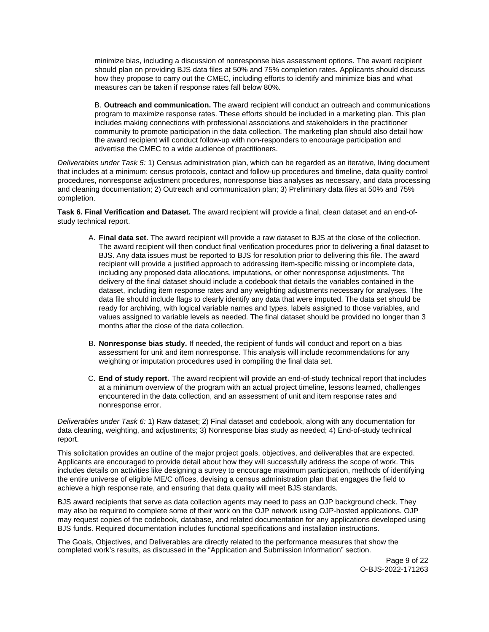minimize bias, including a discussion of nonresponse bias assessment options. The award recipient should plan on providing BJS data files at 50% and 75% completion rates. Applicants should discuss how they propose to carry out the CMEC, including efforts to identify and minimize bias and what measures can be taken if response rates fall below 80%.

B. **Outreach and communication.** The award recipient will conduct an outreach and communications program to maximize response rates. These efforts should be included in a marketing plan. This plan includes making connections with professional associations and stakeholders in the practitioner community to promote participation in the data collection. The marketing plan should also detail how the award recipient will conduct follow-up with non-responders to encourage participation and advertise the CMEC to a wide audience of practitioners.

Deliverables under Task 5: 1) Census administration plan, which can be regarded as an iterative, living document that includes at a minimum: census protocols, contact and follow-up procedures and timeline, data quality control procedures, nonresponse adjustment procedures, nonresponse bias analyses as necessary, and data processing and cleaning documentation; 2) Outreach and communication plan; 3) Preliminary data files at 50% and 75% completion.

**Task 6. Final Verification and Dataset.** The award recipient will provide a final, clean dataset and an end-ofstudy technical report.

- A. **Final data set.** The award recipient will provide a raw dataset to BJS at the close of the collection. The award recipient will then conduct final verification procedures prior to delivering a final dataset to BJS. Any data issues must be reported to BJS for resolution prior to delivering this file. The award recipient will provide a justified approach to addressing item-specific missing or incomplete data, including any proposed data allocations, imputations, or other nonresponse adjustments. The delivery of the final dataset should include a codebook that details the variables contained in the dataset, including item response rates and any weighting adjustments necessary for analyses. The data file should include flags to clearly identify any data that were imputed. The data set should be ready for archiving, with logical variable names and types, labels assigned to those variables, and values assigned to variable levels as needed. The final dataset should be provided no longer than 3 months after the close of the data collection.
- B. **Nonresponse bias study.** If needed, the recipient of funds will conduct and report on a bias assessment for unit and item nonresponse. This analysis will include recommendations for any weighting or imputation procedures used in compiling the final data set.
- C. **End of study report.** The award recipient will provide an end-of-study technical report that includes at a minimum overview of the program with an actual project timeline, lessons learned, challenges encountered in the data collection, and an assessment of unit and item response rates and nonresponse error.

Deliverables under Task 6: 1) Raw dataset; 2) Final dataset and codebook, along with any documentation for data cleaning, weighting, and adjustments; 3) Nonresponse bias study as needed; 4) End-of-study technical report.

This solicitation provides an outline of the major project goals, objectives, and deliverables that are expected. Applicants are encouraged to provide detail about how they will successfully address the scope of work. This includes details on activities like designing a survey to encourage maximum participation, methods of identifying the entire universe of eligible ME/C offices, devising a census administration plan that engages the field to achieve a high response rate, and ensuring that data quality will meet BJS standards.

BJS award recipients that serve as data collection agents may need to pass an OJP background check. They may also be required to complete some of their work on the OJP network using OJP-hosted applications. OJP may request copies of the codebook, database, and related documentation for any applications developed using BJS funds. Required documentation includes functional specifications and installation instructions.

The Goals, Objectives, and Deliverables are directly related to the performance measures that show the completed work's results, as discussed in the "Application and Submission Information" section.

> Page 9 of 22 O-BJS-2022-171263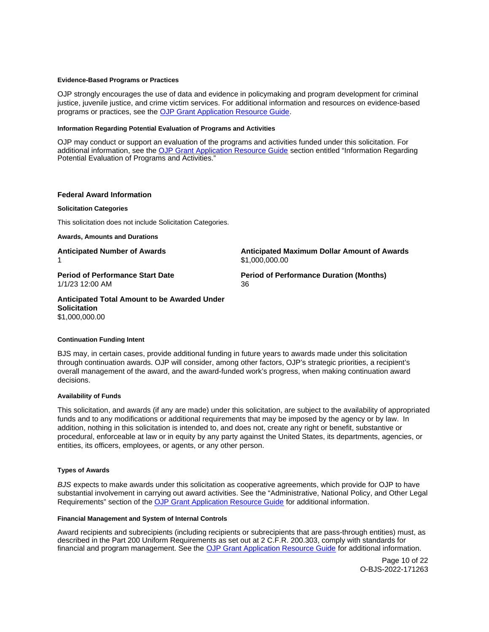# <span id="page-9-0"></span>**Evidence-Based Programs or Practices**

OJP strongly encourages the use of data and evidence in policymaking and program development for criminal justice, juvenile justice, and crime victim services. For additional information and resources on evidence-based programs or practices, see the [OJP Grant Application Resource Guide.](https://www.ojp.gov/funding/apply/ojp-grant-application-resource-guide#evidence-based)

# **Information Regarding Potential Evaluation of Programs and Activities**

OJP may conduct or support an evaluation of the programs and activities funded under this solicitation. For additional information, see the [OJP Grant Application Resource Guide](https://www.ojp.gov/funding/apply/ojp-grant-application-resource-guide#potential-evaluation) section entitled "Information Regarding Potential Evaluation of Programs and Activities."

# **Federal Award Information**

# **Solicitation Categories**

This solicitation does not include Solicitation Categories.

**Awards, Amounts and Durations** 

1/1/23 12:00 AM 36

**Anticipated Number of Awards Anticipated Maximum Dollar Amount of Awards**  1 \$1,000,000.00

**Period of Performance Start Date**  Period of Performance Duration (Months)

# **Anticipated Total Amount to be Awarded Under Solicitation**  \$1,000,000.00

# **Continuation Funding Intent**

BJS may, in certain cases, provide additional funding in future years to awards made under this solicitation through continuation awards. OJP will consider, among other factors, OJP's strategic priorities, a recipient's overall management of the award, and the award-funded work's progress, when making continuation award decisions.

# **Availability of Funds**

This solicitation, and awards (if any are made) under this solicitation, are subject to the availability of appropriated funds and to any modifications or additional requirements that may be imposed by the agency or by law. In addition, nothing in this solicitation is intended to, and does not, create any right or benefit, substantive or procedural, enforceable at law or in equity by any party against the United States, its departments, agencies, or entities, its officers, employees, or agents, or any other person.

# **Types of Awards**

BJS expects to make awards under this solicitation as cooperative agreements, which provide for OJP to have substantial involvement in carrying out award activities. See the "Administrative, National Policy, and Other Legal Requirements" section of the [OJP Grant Application Resource Guide](https://www.ojp.gov/funding/apply/ojp-grant-application-resource-guide#administrative) for additional information.

# **Financial Management and System of Internal Controls**

Award recipients and subrecipients (including recipients or subrecipients that are pass-through entities) must, as described in the Part 200 Uniform Requirements as set out at 2 C.F.R. 200.303, comply with standards for financial and program management. See the [OJP Grant Application Resource Guide](https://www.ojp.gov/funding/apply/ojp-grant-application-resource-guide#fm-internal-controls) for additional information.

> Page 10 of 22 O-BJS-2022-171263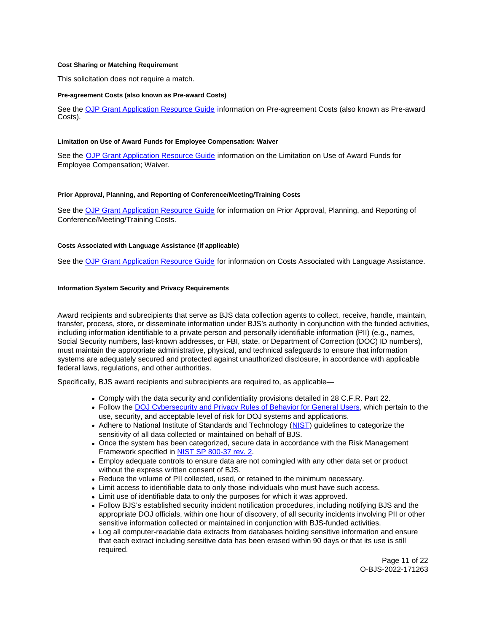# <span id="page-10-0"></span>**Cost Sharing or Matching Requirement**

This solicitation does not require a match.

#### **Pre-agreement Costs (also known as Pre-award Costs)**

See the [OJP Grant Application Resource Guide](https://www.ojp.gov/funding/apply/ojp-grant-application-resource-guide#pre-agreement-costs) information on Pre-agreement Costs (also known as Pre-award Costs).

## **Limitation on Use of Award Funds for Employee Compensation: Waiver**

See the [OJP Grant Application Resource Guide](https://www.ojp.gov/funding/apply/ojp-grant-application-resource-guide#limitation-use-award) information on the Limitation on Use of Award Funds for Employee Compensation; Waiver.

# **Prior Approval, Planning, and Reporting of Conference/Meeting/Training Costs**

See the [OJP Grant Application Resource Guide](https://www.ojp.gov/funding/apply/ojp-grant-application-resource-guide#prior-approval) for information on Prior Approval, Planning, and Reporting of Conference/Meeting/Training Costs.

# **Costs Associated with Language Assistance (if applicable)**

See the [OJP Grant Application Resource Guide](https://www.ojp.gov/funding/apply/ojp-grant-application-resource-guide#costs-associated) for information on Costs Associated with Language Assistance.

# **Information System Security and Privacy Requirements**

Award recipients and subrecipients that serve as BJS data collection agents to collect, receive, handle, maintain, transfer, process, store, or disseminate information under BJS's authority in conjunction with the funded activities, including information identifiable to a private person and personally identifiable information (PII) (e.g., names, Social Security numbers, last-known addresses, or FBI, state, or Department of Correction (DOC) ID numbers), must maintain the appropriate administrative, physical, and technical safeguards to ensure that information systems are adequately secured and protected against unauthorized disclosure, in accordance with applicable federal laws, regulations, and other authorities.

Specifically, BJS award recipients and subrecipients are required to, as applicable—

- Comply with the data security and confidentiality provisions detailed in 28 C.F.R. Part 22.
- Follow the [DOJ Cybersecurity and Privacy Rules of Behavior for General Users,](https://dojnet.doj.gov/jmd/ocio/ocio-document_library/cs/7-DOJ_Rules_of_Behavior/rob-general-users.pdf) which pertain to the use, security, and acceptable level of risk for DOJ systems and applications.
- Adhere to National Institute of Standards and Technology ([NIST\)](https://www.nist.gov/cybersecurity) guidelines to categorize the sensitivity of all data collected or maintained on behalf of BJS.
- Once the system has been categorized, secure data in accordance with the Risk Management Framework specified in [NIST SP 800-37 rev. 2.](https://doi.org/10.6028/NIST.SP.800-37r2)
- Employ adequate controls to ensure data are not comingled with any other data set or product without the express written consent of BJS.
- Reduce the volume of PII collected, used, or retained to the minimum necessary.
- Limit access to identifiable data to only those individuals who must have such access.
- Limit use of identifiable data to only the purposes for which it was approved.
- Follow BJS's established security incident notification procedures, including notifying BJS and the appropriate DOJ officials, within one hour of discovery, of all security incidents involving PII or other sensitive information collected or maintained in conjunction with BJS-funded activities.
- Log all computer-readable data extracts from databases holding sensitive information and ensure that each extract including sensitive data has been erased within 90 days or that its use is still required.

Page 11 of 22 O-BJS-2022-171263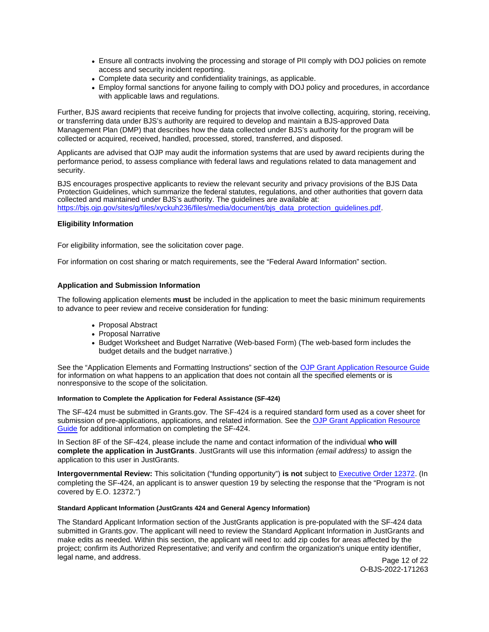- <span id="page-11-0"></span>Ensure all contracts involving the processing and storage of PII comply with DOJ policies on remote access and security incident reporting.
- Complete data security and confidentiality trainings, as applicable.
- Employ formal sanctions for anyone failing to comply with DOJ policy and procedures, in accordance with applicable laws and regulations.

Further, BJS award recipients that receive funding for projects that involve collecting, acquiring, storing, receiving, or transferring data under BJS's authority are required to develop and maintain a BJS-approved Data Management Plan (DMP) that describes how the data collected under BJS's authority for the program will be collected or acquired, received, handled, processed, stored, transferred, and disposed.

Applicants are advised that OJP may audit the information systems that are used by award recipients during the performance period, to assess compliance with federal laws and regulations related to data management and security.

BJS encourages prospective applicants to review the relevant security and privacy provisions of the BJS Data Protection Guidelines, which summarize the federal statutes, regulations, and other authorities that govern data collected and maintained under BJS's authority. The guidelines are available at: [https://bjs.ojp.gov/sites/g/files/xyckuh236/files/media/document/bjs\\_data\\_protection\\_guidelines.pdf.](https://bjs.ojp.gov/sites/g/files/xyckuh236/files/media/document/bjs_data_protection_guidelines.pdf)

# **Eligibility Information**

For eligibility information, see the solicitation cover page.

For information on cost sharing or match requirements, see the "Federal Award Information" section.

# **Application and Submission Information**

The following application elements **must** be included in the application to meet the basic minimum requirements to advance to peer review and receive consideration for funding:

- Proposal Abstract
- Proposal Narrative
- Budget Worksheet and Budget Narrative (Web-based Form) (The web-based form includes the budget details and the budget narrative.)

See the "Application Elements and Formatting Instructions" section of the [OJP Grant Application Resource Guide](https://www.ojp.gov/funding/apply/ojp-grant-application-resource-guide#application-elements)  for information on what happens to an application that does not contain all the specified elements or is nonresponsive to the scope of the solicitation.

# **Information to Complete the Application for Federal Assistance (SF-424)**

The SF-424 must be submitted in [Grants.gov.](https://Grants.gov) The SF-424 is a required standard form used as a cover sheet for submission of pre-applications, applications, and related information. See the [OJP Grant Application Resource](https://www.ojp.gov/funding/apply/ojp-grant-application-resource-guide#complete-application) [Guide f](https://www.ojp.gov/funding/apply/ojp-grant-application-resource-guide#complete-application)or additional information on completing the SF-424.

In Section 8F of the SF-424, please include the name and contact information of the individual **who will complete the application in JustGrants**. JustGrants will use this information (email address) to assign the application to this user in JustGrants.

**Intergovernmental Review:** This solicitation ("funding opportunity") **is not** subject to [Executive Order 12372.](https://www.archives.gov/federal-register/codification/executive-order/12372.html) (In completing the SF-424, an applicant is to answer question 19 by selecting the response that the "Program is not covered by E.O. 12372.")

# **Standard Applicant Information (JustGrants 424 and General Agency Information)**

The Standard Applicant Information section of the JustGrants application is pre-populated with the SF-424 data submitted in [Grants.gov](https://Grants.gov). The applicant will need to review the Standard Applicant Information in JustGrants and make edits as needed. Within this section, the applicant will need to: add zip codes for areas affected by the project; confirm its Authorized Representative; and verify and confirm the organization's unique entity identifier, legal name, and address. **Page 12 of 22** 

O-BJS-2022-171263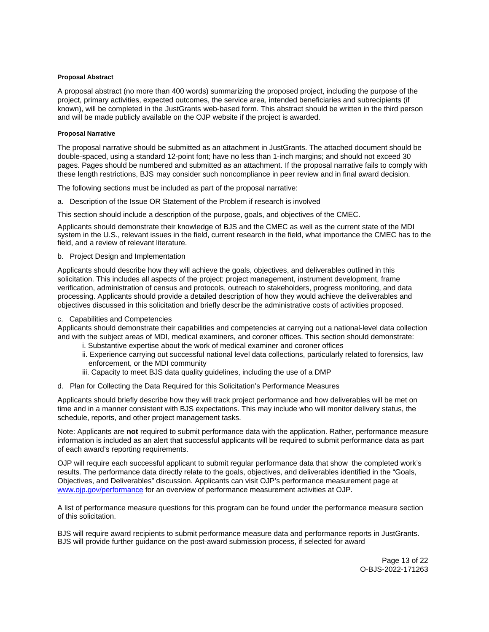# <span id="page-12-0"></span>**Proposal Abstract**

A proposal abstract (no more than 400 words) summarizing the proposed project, including the purpose of the project, primary activities, expected outcomes, the service area, intended beneficiaries and subrecipients (if known), will be completed in the JustGrants web-based form. This abstract should be written in the third person and will be made publicly available on the OJP website if the project is awarded.

# **Proposal Narrative**

The proposal narrative should be submitted as an attachment in JustGrants. The attached document should be double-spaced, using a standard 12-point font; have no less than 1-inch margins; and should not exceed 30 pages. Pages should be numbered and submitted as an attachment. If the proposal narrative fails to comply with these length restrictions, BJS may consider such noncompliance in peer review and in final award decision.

The following sections must be included as part of the proposal narrative:

a. Description of the Issue OR Statement of the Problem if research is involved

This section should include a description of the purpose, goals, and objectives of the CMEC.

Applicants should demonstrate their knowledge of BJS and the CMEC as well as the current state of the MDI system in the U.S., relevant issues in the field, current research in the field, what importance the CMEC has to the field, and a review of relevant literature.

b. Project Design and Implementation

Applicants should describe how they will achieve the goals, objectives, and deliverables outlined in this solicitation. This includes all aspects of the project: project management, instrument development, frame verification, administration of census and protocols, outreach to stakeholders, progress monitoring, and data processing. Applicants should provide a detailed description of how they would achieve the deliverables and objectives discussed in this solicitation and briefly describe the administrative costs of activities proposed.

# c. Capabilities and Competencies

Applicants should demonstrate their capabilities and competencies at carrying out a national-level data collection and with the subject areas of MDI, medical examiners, and coroner offices. This section should demonstrate:

- i. Substantive expertise about the work of medical examiner and coroner offices
- ii. Experience carrying out successful national level data collections, particularly related to forensics, law enforcement, or the MDI community
- iii. Capacity to meet BJS data quality guidelines, including the use of a DMP
- d. Plan for Collecting the Data Required for this Solicitation's Performance Measures

Applicants should briefly describe how they will track project performance and how deliverables will be met on time and in a manner consistent with BJS expectations. This may include who will monitor delivery status, the schedule, reports, and other project management tasks.

Note: Applicants are **not** required to submit performance data with the application. Rather, performance measure information is included as an alert that successful applicants will be required to submit performance data as part of each award's reporting requirements.

OJP will require each successful applicant to submit regular performance data that show the completed work's results. The performance data directly relate to the goals, objectives, and deliverables identified in the "Goals, Objectives, and Deliverables" discussion. Applicants can visit OJP's performance measurement page at [www.ojp.gov/performance](https://www.ojp.gov/performance) for an overview of performance measurement activities at OJP.

A list of performance measure questions for this program can be found under the performance measure section of this solicitation.

BJS will require award recipients to submit performance measure data and performance reports in JustGrants. BJS will provide further guidance on the post-award submission process, if selected for award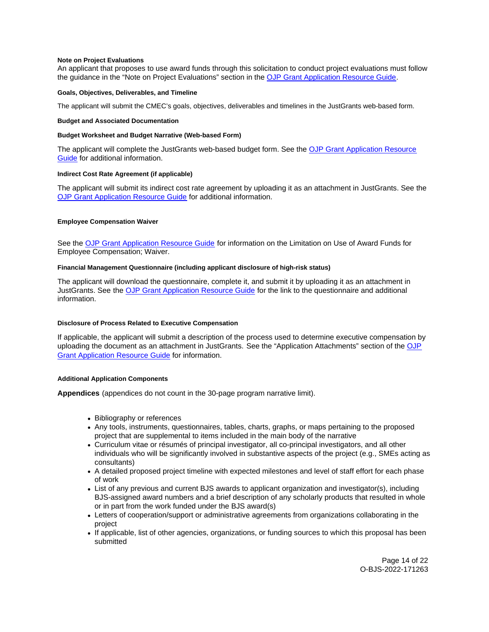# <span id="page-13-0"></span>**Note on Project Evaluations**

An applicant that proposes to use award funds through this solicitation to conduct project evaluations must follow the guidance in the "Note on Project Evaluations" section in the [OJP Grant Application Resource Guide.](https://www.ojp.gov/funding/apply/ojp-grant-application-resource-guide#project-evaluations)

# **Goals, Objectives, Deliverables, and Timeline**

The applicant will submit the CMEC's goals, objectives, deliverables and timelines in the JustGrants web-based form.

# **Budget and Associated Documentation**

# **Budget Worksheet and Budget Narrative (Web-based Form)**

The applicant will complete the JustGrants web-based budget form. See the [OJP Grant Application Resource](https://www.ojp.gov/funding/apply/ojp-grant-application-resource-guide#budget-prep)  [Guide](https://www.ojp.gov/funding/apply/ojp-grant-application-resource-guide#budget-prep) for additional information.

# **Indirect Cost Rate Agreement (if applicable)**

The applicant will submit its indirect cost rate agreement by uploading it as an attachment in JustGrants. See the [OJP Grant Application Resource Guide](https://www.ojp.gov/funding/apply/ojp-grant-application-resource-guide#indirect-cost) for additional information.

# **Employee Compensation Waiver**

See the [OJP Grant Application Resource Guide](https://www.ojp.gov/funding/apply/ojp-grant-application-resource-guide#limitation-use-award) for information on the Limitation on Use of Award Funds for Employee Compensation; Waiver.

# **Financial Management Questionnaire (including applicant disclosure of high-risk status)**

The applicant will download the questionnaire, complete it, and submit it by uploading it as an attachment in JustGrants. See the [OJP Grant Application Resource Guide](https://www.ojp.gov/funding/apply/ojp-grant-application-resource-guide#fm-internal-controls-questionnaire) for the link to the questionnaire and additional information.

# **Disclosure of Process Related to Executive Compensation**

If applicable, the applicant will submit a description of the process used to determine executive compensation by uploading the document as an attachment in JustGrants. See the "Application Attachments" section of the OJP [Grant Application Resource Guide](https://www.ojp.gov/funding/apply/ojp-grant-application-resource-guide#disclosure-process-executive) for information.

# **Additional Application Components**

**Appendices** (appendices do not count in the 30-page program narrative limit).

- Bibliography or references
- Any tools, instruments, questionnaires, tables, charts, graphs, or maps pertaining to the proposed project that are supplemental to items included in the main body of the narrative
- Curriculum vitae or résumés of principal investigator, all co-principal investigators, and all other individuals who will be significantly involved in substantive aspects of the project (e.g., SMEs acting as consultants)
- A detailed proposed project timeline with expected milestones and level of staff effort for each phase of work
- List of any previous and current BJS awards to applicant organization and investigator(s), including BJS-assigned award numbers and a brief description of any scholarly products that resulted in whole or in part from the work funded under the BJS award(s)
- Letters of cooperation/support or administrative agreements from organizations collaborating in the project
- If applicable, list of other agencies, organizations, or funding sources to which this proposal has been submitted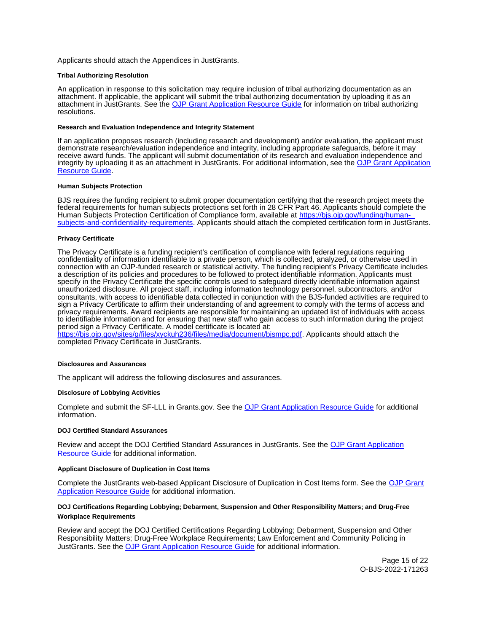<span id="page-14-0"></span>Applicants should attach the Appendices in JustGrants.

#### **Tribal Authorizing Resolution**

An application in response to this solicitation may require inclusion of tribal authorizing documentation as an attachment. If applicable, the applicant will submit the tribal authorizing documentation by uploading it as an attachment in JustGrants. See the [OJP Grant Application Resource Guide](https://www.ojp.gov/funding/apply/ojp-grant-application-resource-guide#tribal-authorizing-resolution) for information on tribal authorizing resolutions.

#### **Research and Evaluation Independence and Integrity Statement**

If an application proposes research (including research and development) and/or evaluation, the applicant must demonstrate research/evaluation independence and integrity, including appropriate safeguards, before it may receive award funds. The applicant will submit documentation of its research and evaluation independence and integrity by uploading it as an attachment in JustGrants. For additional information, see the [OJP Grant Application](https://www.ojp.gov/funding/apply/ojp-grant-application-resource-guide#research-evaluation)  [Resource Guide.](https://www.ojp.gov/funding/apply/ojp-grant-application-resource-guide#research-evaluation)

## **Human Subjects Protection**

BJS requires the funding recipient to submit proper documentation certifying that the research project meets the federal requirements for human subjects protections set forth in 28 CFR Part 46. Applicants should complete the Human Subjects Protection Certification of Compliance form, available at [https://bjs.ojp.gov/funding/human](https://bjs.ojp.gov/funding/human-subjects-and-confidentiality-requirements)[subjects-and-confidentiality-requirements.](https://bjs.ojp.gov/funding/human-subjects-and-confidentiality-requirements) Applicants should attach the completed certification form in JustGrants.

#### **Privacy Certificate**

The Privacy Certificate is a funding recipient's certification of compliance with federal regulations requiring confidentiality of information identifiable to a private person, which is collected, analyzed, or otherwise used in connection with an OJP-funded research or statistical activity. The funding recipient's Privacy Certificate includes a description of its policies and procedures to be followed to protect identifiable information. Applicants must specify in the Privacy Certificate the specific controls used to safeguard directly identifiable information against unauthorized disclosure. All project staff, including information technology personnel, subcontractors, and/or consultants, with access to identifiable data collected in conjunction with the BJS-funded activities are required to sign a Privacy Certificate to affirm their understanding of and agreement to comply with the terms of access and privacy requirements. Award recipients are responsible for maintaining an updated list of individuals with access to identifiable information and for ensuring that new staff who gain access to such information during the project period sign a Privacy Certificate. A model certificate is located at:

[https://bjs.ojp.gov/sites/g/files/xyckuh236/files/media/document/bjsmpc.pdf.](https://bjs.ojp.gov/sites/g/files/xyckuh236/files/media/document/bjsmpc.pdf) Applicants should attach the completed Privacy Certificate in JustGrants.

#### **Disclosures and Assurances**

The applicant will address the following disclosures and assurances.

# **Disclosure of Lobbying Activities**

Complete and submit the SF-LLL in [Grants.gov](https://Grants.gov). See the [OJP Grant Application Resource Guide](https://www.ojp.gov/funding/apply/ojp-grant-application-resource-guide#disclosure-lobby) for additional information.

# **DOJ Certified Standard Assurances**

Review and accept the DOJ Certified Standard Assurances in JustGrants. See the [OJP Grant Application](https://www.ojp.gov/funding/apply/ojp-grant-application-resource-guide#administrative)  [Resource Guide](https://www.ojp.gov/funding/apply/ojp-grant-application-resource-guide#administrative) for additional information.

#### **Applicant Disclosure of Duplication in Cost Items**

Complete the JustGrants web-based Applicant Disclosure of Duplication in Cost Items form. See the [OJP Grant](https://www.ojp.gov/funding/apply/ojp-grant-application-resource-guide#applicant-disclosure-pending-applications)  [Application Resource Guide](https://www.ojp.gov/funding/apply/ojp-grant-application-resource-guide#applicant-disclosure-pending-applications) for additional information.

# **DOJ Certifications Regarding Lobbying; Debarment, Suspension and Other Responsibility Matters; and Drug-Free Workplace Requirements**

Review and accept the DOJ Certified Certifications Regarding Lobbying; Debarment, Suspension and Other Responsibility Matters; Drug-Free Workplace Requirements; Law Enforcement and Community Policing in JustGrants. See the [OJP Grant Application Resource Guide](https://www.ojp.gov/funding/apply/ojp-grant-application-resource-guide#administrative) for additional information.

> Page 15 of 22 O-BJS-2022-171263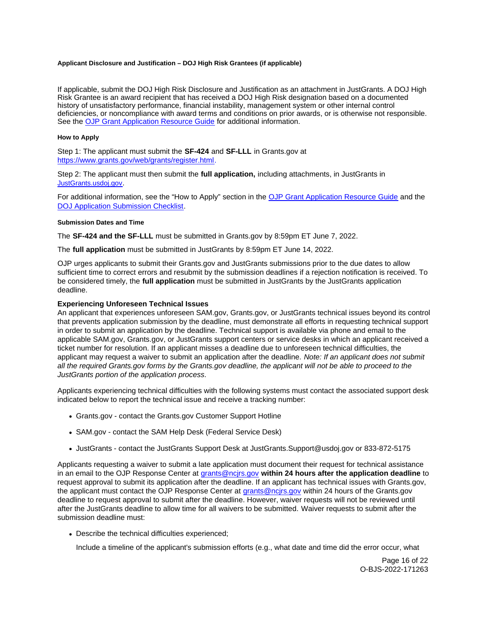# <span id="page-15-0"></span>**Applicant Disclosure and Justification – DOJ High Risk Grantees (if applicable)**

If applicable, submit the DOJ High Risk Disclosure and Justification as an attachment in JustGrants. A DOJ High Risk Grantee is an award recipient that has received a DOJ High Risk designation based on a documented history of unsatisfactory performance, financial instability, management system or other internal control deficiencies, or noncompliance with award terms and conditions on prior awards, or is otherwise not responsible. See the [OJP Grant Application Resource Guide](https://www.ojp.gov/funding/apply/ojp-grant-application-resource-guide#applicant-disclosure-justification) for additional information.

#### **How to Apply**

Step 1: The applicant must submit the **SF-424** and **SF-LLL** in [Grants.gov](https://Grants.gov) at [https://www.grants.gov/web/grants/register.html.](https://www.grants.gov/web/grants/register.html)

Step 2: The applicant must then submit the **full application,** including attachments, in JustGrants in [JustGrants.usdoj.gov.](https://justicegrants.usdoj.gov/)

For additional information, see the "How to Apply" section in the [OJP Grant Application Resource Guide](https://www.ojp.gov/funding/apply/ojp-grant-application-resource-guide#apply) and the [DOJ Application Submission Checklist.](https://justicegrants.usdoj.gov/sites/g/files/xyckuh296/files/media/document/appln-submission-checklist.pdf)

# **Submission Dates and Time**

The **SF-424 and the SF-LLL** must be submitted in [Grants.gov](https://Grants.gov) by 8:59pm ET June 7, 2022.

The **full application** must be submitted in JustGrants by 8:59pm ET June 14, 2022.

OJP urges applicants to submit their [Grants.gov](https://Grants.gov) and JustGrants submissions prior to the due dates to allow sufficient time to correct errors and resubmit by the submission deadlines if a rejection notification is received. To be considered timely, the **full application** must be submitted in JustGrants by the JustGrants application deadline.

# **Experiencing Unforeseen Technical Issues**

An applicant that experiences unforeseen SAM.gov, [Grants.gov](https://Grants.gov), or JustGrants technical issues beyond its control that prevents application submission by the deadline, must demonstrate all efforts in requesting technical support in order to submit an application by the deadline. Technical support is available via phone and email to the applicable SAM.gov, [Grants.gov,](https://Grants.gov) or JustGrants support centers or service desks in which an applicant received a ticket number for resolution. If an applicant misses a deadline due to unforeseen technical difficulties, the applicant may request a waiver to submit an application after the deadline. Note: If an applicant does not submit all the required [Grants.gov](https://Grants.gov) forms by the [Grants.gov](https://Grants.gov) deadline, the applicant will not be able to proceed to the JustGrants portion of the application process.

Applicants experiencing technical difficulties with the following systems must contact the associated support desk indicated below to report the technical issue and receive a tracking number:

- [Grants.gov](https://Grants.gov)  contact the [Grants.gov](https://Grants.gov) Customer Support Hotline
- SAM.gov contact the SAM Help Desk (Federal Service Desk)
- JustGrants contact the JustGrants Support Desk at [JustGrants.Support@usdoj.gov](mailto:JustGrants.Support@usdoj.gov) or 833-872-5175

Applicants requesting a waiver to submit a late application must document their request for technical assistance in an email to the OJP Response Center at [grants@ncjrs.gov](mailto:grants@ncjrs.gov) **within 24 hours after the application deadline** to request approval to submit its application after the deadline. If an applicant has technical issues with [Grants.gov](https://Grants.gov), the applicant must contact the OJP Response Center at [grants@ncjrs.gov](mailto:grants@ncjrs.gov) within 24 hours of the [Grants.gov](https://Grants.gov) deadline to request approval to submit after the deadline. However, waiver requests will not be reviewed until after the JustGrants deadline to allow time for all waivers to be submitted. Waiver requests to submit after the submission deadline must:

Describe the technical difficulties experienced;

Include a timeline of the applicant's submission efforts (e.g., what date and time did the error occur, what

Page 16 of 22 O-BJS-2022-171263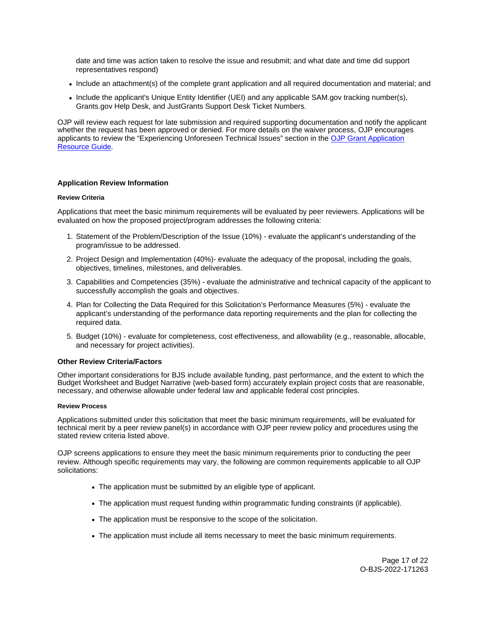<span id="page-16-0"></span>date and time was action taken to resolve the issue and resubmit; and what date and time did support representatives respond)

- Include an attachment(s) of the complete grant application and all required documentation and material; and
- Include the applicant's Unique Entity Identifier (UEI) and any applicable SAM.gov tracking number(s), [Grants.gov](https://Grants.gov) Help Desk, and JustGrants Support Desk Ticket Numbers.

OJP will review each request for late submission and required supporting documentation and notify the applicant whether the request has been approved or denied. For more details on the waiver process, OJP encourages applicants to review the "Experiencing Unforeseen Technical Issues" section in the [OJP Grant Application](https://www.ojp.gov/funding/apply/ojp-grant-application-resource-guide#experiencing-unforeseen-technical-issues)  [Resource Guide](https://www.ojp.gov/funding/apply/ojp-grant-application-resource-guide#experiencing-unforeseen-technical-issues).

# **Application Review Information**

# **Review Criteria**

Applications that meet the basic minimum requirements will be evaluated by peer reviewers. Applications will be evaluated on how the proposed project/program addresses the following criteria:

- 1. Statement of the Problem/Description of the Issue (10%) evaluate the applicant's understanding of the program/issue to be addressed.
- 2. Project Design and Implementation (40%)- evaluate the adequacy of the proposal, including the goals, objectives, timelines, milestones, and deliverables.
- 3. Capabilities and Competencies (35%) evaluate the administrative and technical capacity of the applicant to successfully accomplish the goals and objectives.
- 4. Plan for Collecting the Data Required for this Solicitation's Performance Measures (5%) evaluate the applicant's understanding of the performance data reporting requirements and the plan for collecting the required data.
- 5. Budget (10%) evaluate for completeness, cost effectiveness, and allowability (e.g., reasonable, allocable, and necessary for project activities).

# **Other Review Criteria/Factors**

Other important considerations for BJS include available funding, past performance, and the extent to which the Budget Worksheet and Budget Narrative (web-based form) accurately explain project costs that are reasonable, necessary, and otherwise allowable under federal law and applicable federal cost principles.

# **Review Process**

Applications submitted under this solicitation that meet the basic minimum requirements, will be evaluated for technical merit by a peer review panel(s) in accordance with OJP peer review policy and procedures using the stated review criteria listed above.

OJP screens applications to ensure they meet the basic minimum requirements prior to conducting the peer review. Although specific requirements may vary, the following are common requirements applicable to all OJP solicitations:

- The application must be submitted by an eligible type of applicant.
- The application must request funding within programmatic funding constraints (if applicable).
- The application must be responsive to the scope of the solicitation.
- The application must include all items necessary to meet the basic minimum requirements.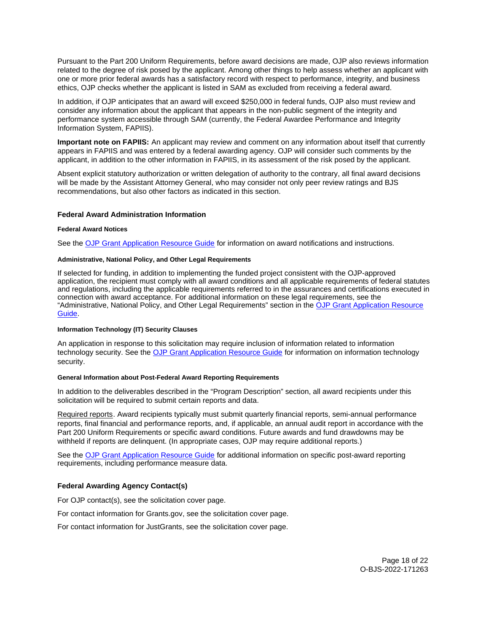<span id="page-17-0"></span>Pursuant to the Part 200 Uniform Requirements, before award decisions are made, OJP also reviews information related to the degree of risk posed by the applicant. Among other things to help assess whether an applicant with one or more prior federal awards has a satisfactory record with respect to performance, integrity, and business ethics, OJP checks whether the applicant is listed in SAM as excluded from receiving a federal award.

In addition, if OJP anticipates that an award will exceed \$250,000 in federal funds, OJP also must review and consider any information about the applicant that appears in the non-public segment of the integrity and performance system accessible through SAM (currently, the Federal Awardee Performance and Integrity Information System, FAPIIS).

**Important note on FAPIIS:** An applicant may review and comment on any information about itself that currently appears in FAPIIS and was entered by a federal awarding agency. OJP will consider such comments by the applicant, in addition to the other information in FAPIIS, in its assessment of the risk posed by the applicant.

Absent explicit statutory authorization or written delegation of authority to the contrary, all final award decisions will be made by the Assistant Attorney General, who may consider not only peer review ratings and BJS recommendations, but also other factors as indicated in this section.

# **Federal Award Administration Information**

# **Federal Award Notices**

See the [OJP Grant Application Resource Guide](https://www.ojp.gov/funding/apply/ojp-grant-application-resource-guide#federal-award-notices) for information on award notifications and instructions.

# **Administrative, National Policy, and Other Legal Requirements**

If selected for funding, in addition to implementing the funded project consistent with the OJP-approved application, the recipient must comply with all award conditions and all applicable requirements of federal statutes and regulations, including the applicable requirements referred to in the assurances and certifications executed in connection with award acceptance. For additional information on these legal requirements, see the "Administrative, National Policy, and Other Legal Requirements" section in the [OJP Grant Application Resource](https://www.ojp.gov/funding/apply/ojp-grant-application-resource-guide#administrative)  [Guide.](https://www.ojp.gov/funding/apply/ojp-grant-application-resource-guide#administrative)

# **Information Technology (IT) Security Clauses**

An application in response to this solicitation may require inclusion of information related to information technology security. See the [OJP Grant Application Resource Guide](https://www.ojp.gov/funding/apply/ojp-grant-application-resource-guide#information-technology) for information on information technology security.

# **General Information about Post-Federal Award Reporting Requirements**

In addition to the deliverables described in the "Program Description" section, all award recipients under this solicitation will be required to submit certain reports and data.

Required reports. Award recipients typically must submit quarterly financial reports, semi-annual performance reports, final financial and performance reports, and, if applicable, an annual audit report in accordance with the Part 200 Uniform Requirements or specific award conditions. Future awards and fund drawdowns may be withheld if reports are delinquent. (In appropriate cases, OJP may require additional reports.)

See the [OJP Grant Application Resource Guide](https://www.ojp.gov/funding/apply/ojp-grant-application-resource-guide#general-information) for additional information on specific post-award reporting requirements, including performance measure data.

# **Federal Awarding Agency Contact(s)**

For OJP contact(s), see the solicitation cover page.

For contact information for [Grants.gov,](https://Grants.gov) see the solicitation cover page.

For contact information for JustGrants, see the solicitation cover page.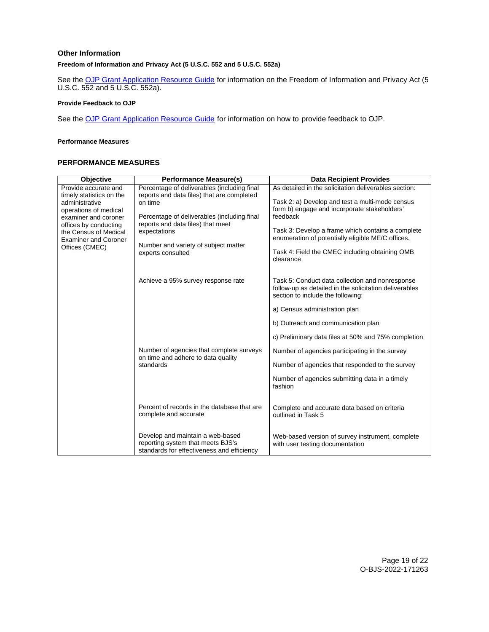# <span id="page-18-0"></span>**Other Information**

# **Freedom of Information and Privacy Act (5 U.S.C. 552 and 5 U.S.C. 552a)**

See the **[OJP Grant Application Resource Guide](https://www.ojp.gov/funding/apply/ojp-grant-application-resource-guide#foia) for information on the Freedom of Information and Privacy Act (5** U.S.C. 552 and 5 U.S.C. 552a).

# **Provide Feedback to OJP**

See the **OJP Grant Application Resource Guide** for information on how to provide feedback to OJP.

## **Performance Measures**

# **PERFORMANCE MEASURES**

| <b>Objective</b>                                 | <b>Performance Measure(s)</b>                                                               | <b>Data Recipient Provides</b>                                                                            |
|--------------------------------------------------|---------------------------------------------------------------------------------------------|-----------------------------------------------------------------------------------------------------------|
| Provide accurate and<br>timely statistics on the | Percentage of deliverables (including final<br>reports and data files) that are completed   | As detailed in the solicitation deliverables section:                                                     |
| administrative                                   | on time                                                                                     | Task 2: a) Develop and test a multi-mode census                                                           |
| operations of medical<br>examiner and coroner    | Percentage of deliverables (including final                                                 | form b) engage and incorporate stakeholders'<br>feedback                                                  |
| offices by conducting                            | reports and data files) that meet                                                           |                                                                                                           |
| the Census of Medical                            | expectations                                                                                | Task 3: Develop a frame which contains a complete<br>enumeration of potentially eligible ME/C offices.    |
| <b>Examiner and Coroner</b><br>Offices (CMEC)    | Number and variety of subject matter<br>experts consulted                                   |                                                                                                           |
|                                                  |                                                                                             | Task 4: Field the CMEC including obtaining OMB<br>clearance                                               |
|                                                  |                                                                                             |                                                                                                           |
|                                                  |                                                                                             |                                                                                                           |
|                                                  | Achieve a 95% survey response rate                                                          | Task 5: Conduct data collection and nonresponse<br>follow-up as detailed in the solicitation deliverables |
|                                                  |                                                                                             | section to include the following:                                                                         |
|                                                  |                                                                                             | a) Census administration plan                                                                             |
|                                                  |                                                                                             | b) Outreach and communication plan                                                                        |
|                                                  |                                                                                             |                                                                                                           |
|                                                  |                                                                                             | c) Preliminary data files at 50% and 75% completion                                                       |
|                                                  | Number of agencies that complete surveys<br>on time and adhere to data quality<br>standards | Number of agencies participating in the survey                                                            |
|                                                  |                                                                                             | Number of agencies that responded to the survey                                                           |
|                                                  |                                                                                             |                                                                                                           |
|                                                  |                                                                                             | Number of agencies submitting data in a timely<br>fashion                                                 |
|                                                  |                                                                                             |                                                                                                           |
|                                                  | Percent of records in the database that are                                                 | Complete and accurate data based on criteria                                                              |
|                                                  | complete and accurate                                                                       | outlined in Task 5                                                                                        |
|                                                  |                                                                                             |                                                                                                           |
|                                                  | Develop and maintain a web-based                                                            | Web-based version of survey instrument, complete                                                          |
|                                                  | reporting system that meets BJS's<br>standards for effectiveness and efficiency             | with user testing documentation                                                                           |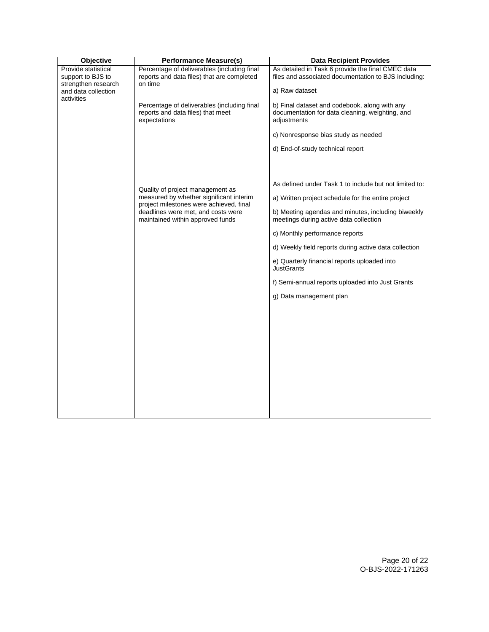| Objective                                                                              | <b>Performance Measure(s)</b>                                                                                                                                                                    | <b>Data Recipient Provides</b>                                                                                              |
|----------------------------------------------------------------------------------------|--------------------------------------------------------------------------------------------------------------------------------------------------------------------------------------------------|-----------------------------------------------------------------------------------------------------------------------------|
| Provide statistical<br>support to BJS to<br>strengthen research<br>and data collection | Percentage of deliverables (including final<br>reports and data files) that are completed<br>on time                                                                                             | As detailed in Task 6 provide the final CMEC data<br>files and associated documentation to BJS including:<br>a) Raw dataset |
| activities                                                                             | Percentage of deliverables (including final<br>reports and data files) that meet<br>expectations                                                                                                 | b) Final dataset and codebook, along with any<br>documentation for data cleaning, weighting, and<br>adjustments             |
|                                                                                        |                                                                                                                                                                                                  | c) Nonresponse bias study as needed                                                                                         |
|                                                                                        |                                                                                                                                                                                                  | d) End-of-study technical report                                                                                            |
|                                                                                        |                                                                                                                                                                                                  |                                                                                                                             |
|                                                                                        | Quality of project management as<br>measured by whether significant interim<br>project milestones were achieved, final<br>deadlines were met, and costs were<br>maintained within approved funds | As defined under Task 1 to include but not limited to:                                                                      |
|                                                                                        |                                                                                                                                                                                                  | a) Written project schedule for the entire project                                                                          |
|                                                                                        |                                                                                                                                                                                                  | b) Meeting agendas and minutes, including biweekly<br>meetings during active data collection                                |
|                                                                                        |                                                                                                                                                                                                  | c) Monthly performance reports                                                                                              |
|                                                                                        |                                                                                                                                                                                                  | d) Weekly field reports during active data collection                                                                       |
|                                                                                        |                                                                                                                                                                                                  | e) Quarterly financial reports uploaded into<br><b>JustGrants</b>                                                           |
|                                                                                        |                                                                                                                                                                                                  | f) Semi-annual reports uploaded into Just Grants                                                                            |
|                                                                                        |                                                                                                                                                                                                  | g) Data management plan                                                                                                     |
|                                                                                        |                                                                                                                                                                                                  |                                                                                                                             |
|                                                                                        |                                                                                                                                                                                                  |                                                                                                                             |
|                                                                                        |                                                                                                                                                                                                  |                                                                                                                             |
|                                                                                        |                                                                                                                                                                                                  |                                                                                                                             |
|                                                                                        |                                                                                                                                                                                                  |                                                                                                                             |
|                                                                                        |                                                                                                                                                                                                  |                                                                                                                             |
|                                                                                        |                                                                                                                                                                                                  |                                                                                                                             |
|                                                                                        |                                                                                                                                                                                                  |                                                                                                                             |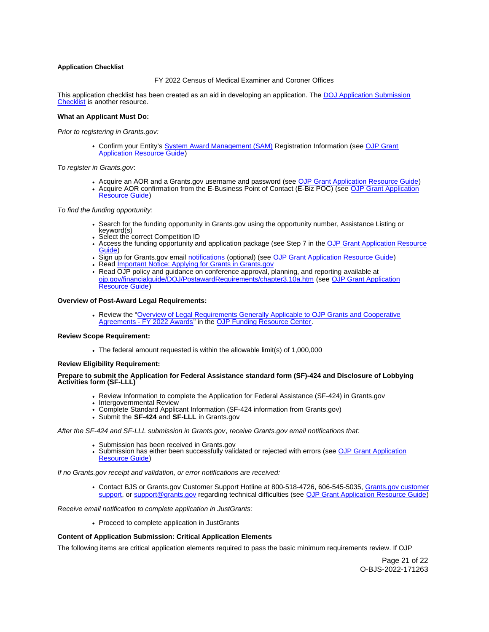# <span id="page-20-0"></span>**Application Checklist**

## FY 2022 Census of Medical Examiner and Coroner Offices

This application checklist has been created as an aid in developing an application. The [DOJ Application Submission](https://justicegrants.usdoj.gov/sites/g/files/xyckuh296/files/media/document/appln-submission-checklist.pdf)  [Checklist](https://justicegrants.usdoj.gov/sites/g/files/xyckuh296/files/media/document/appln-submission-checklist.pdf) is another resource.

#### **What an Applicant Must Do:**

Prior to registering in [Grants.gov](https://Grants.gov):

• Confirm your Entity's [System Award Management \(SAM\)](https://sam.gov/SAM/) Registration Information (see OJP Grant [Application Resource Guide\)](https://www.ojp.gov/funding/apply/ojp-grant-application-resource-guide#apply)

To register in [Grants.gov](https://Grants.gov):

- Acquire an AOR and a [Grants.gov](https://Grants.gov) username and password (see [OJP Grant Application Resource Guide\)](https://www.ojp.gov/funding/apply/ojp-grant-application-resource-guide#apply)
- Acquire AOR confirmation from the E-Business Point of Contact (E-Biz POC) (see OJP Grant Application [Resource Guide\)](https://www.ojp.gov/funding/apply/ojp-grant-application-resource-guide#apply)

To find the funding opportunity:

- Search for the funding opportunity in [Grants.gov](https://Grants.gov) using the opportunity number, Assistance Listing or keyword(s)
- Select the correct Competition ID
- Access the funding opportunity and application package (see Step 7 in the [OJP Grant Application Resource](https://www.ojp.gov/funding/apply/ojp-grant-application-resource-guide#apply)  [Guide\)](https://www.ojp.gov/funding/apply/ojp-grant-application-resource-guide#apply)
- Sign up for [Grants.gov](https://Grants.gov) email [notifications](https://www.grants.gov/web/grants/manage-subscriptions.html) (optional) (see [OJP Grant Application Resource Guide\)](https://www.ojp.gov/funding/apply/ojp-grant-application-resource-guide#apply)
- Read Important Notice: Applying for Grants in Grants.gov
- Read OJP policy and guidance on conference approval, planning, and reporting available at [ojp.gov/financialguide/DOJ/PostawardRequirements/chapter3.10a.htm](https://ojp.gov/financialguide/DOJ/PostawardRequirements/chapter3.10a.htm) (see [OJP Grant Application](https://www.ojp.gov/funding/apply/ojp-grant-application-resource-guide#prior-approval)  [Resource Guide\)](https://www.ojp.gov/funding/apply/ojp-grant-application-resource-guide#prior-approval)

#### **Overview of Post-Award Legal Requirements:**

• Review the "Overview of Legal Requirements Generally Applicable to OJP Grants and Cooperative [Agreements - FY 2022 Awards"](https://www.ojp.gov/funding/explore/legal-overview-fy-2022-awards) in the [OJP Funding Resource Center.](https://www.ojp.gov/funding/explore/legal-overview-awards)

#### **Review Scope Requirement:**

The federal amount requested is within the allowable limit(s) of 1,000,000

#### **Review Eligibility Requirement:**

#### **Prepare to submit the Application for Federal Assistance standard form (SF)-424 and Disclosure of Lobbying Activities form (SF-LLL)**

- Review Information to complete the Application for Federal Assistance (SF-424) in [Grants.gov](https://Grants.gov)
- Intergovernmental Review
- Complete Standard Applicant Information (SF-424 information from [Grants.gov\)](https://Grants.gov)
- Submit the **SF-424** and **SF-LLL** in [Grants.gov](https://Grants.gov)

#### After the SF-424 and SF-LLL submission in [Grants.gov](https://Grants.gov), receive [Grants.gov](https://Grants.gov) email notifications that:

- 
- Submission has been received in [Grants.gov](https://Grants.gov)<br>Submission has either been succ[essfully valid](https://Grants.gov)ated or rejected with errors (see OJP Grant Application [Resource Guide\)](https://www.ojp.gov/funding/apply/ojp-grant-application-resource-guide#apply)

If no [Grants.gov](https://Grants.gov) receipt and validation, or error notifications are received:

• Contact BJS or [Grants.gov](https://Grants.gov) Customer Support Hotline at 800-518-4726, 606-545-5035, Grants.gov customer [support,](https://www.grants.gov/web/grants/support.html) or [support@grants.gov](mailto:support@grants.gov) regarding technical difficulties (see [OJP Grant Application Resource Guide\)](https://www.ojp.gov/funding/apply/ojp-grant-application-resource-guide#apply)

Receive email notification to complete application in JustGrants:

• Proceed to complete application in JustGrants

# **Content of Application Submission: Critical Application Elements**

The following items are critical application elements required to pass the basic minimum requirements review. If OJP

Page 21 of 22 O-BJS-2022-171263